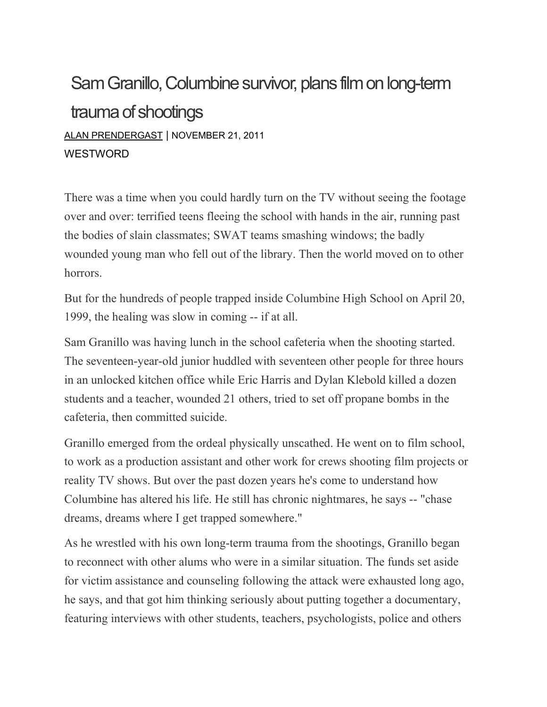## Sam Granillo, Columbine survivor, plans film on long-term trauma of shootings ALAN [PRENDERGAST](https://www.westword.com/authors/alan-prendergast-5052731) | NOVEMBER 21, 2011 **WESTWORD**

There was a time when you could hardly turn on the TV without seeing the footage over and over: terrified teens fleeing the school with hands in the air, running past the bodies of slain classmates; SWAT teams smashing windows; the badly wounded young man who fell out of the library. Then the world moved on to other horrors.

But for the hundreds of people trapped inside Columbine High School on April 20, 1999, the healing was slow in coming -- if at all.

Sam Granillo was having lunch in the school cafeteria when the shooting started. The seventeen-year-old junior huddled with seventeen other people for three hours in an unlocked kitchen office while Eric Harris and Dylan Klebold killed a dozen students and a teacher, wounded 21 others, tried to set off propane bombs in the cafeteria, then committed suicide.

Granillo emerged from the ordeal physically unscathed. He went on to film school, to work as a production assistant and other work for crews shooting film projects or reality TV shows. But over the past dozen years he's come to understand how Columbine has altered his life. He still has chronic nightmares, he says -- "chase dreams, dreams where I get trapped somewhere."

As he wrestled with his own long-term trauma from the shootings, Granillo began to reconnect with other alums who were in a similar situation. The funds set aside for victim assistance and counseling following the attack were exhausted long ago, he says, and that got him thinking seriously about putting together a documentary, featuring interviews with other students, teachers, psychologists, police and others